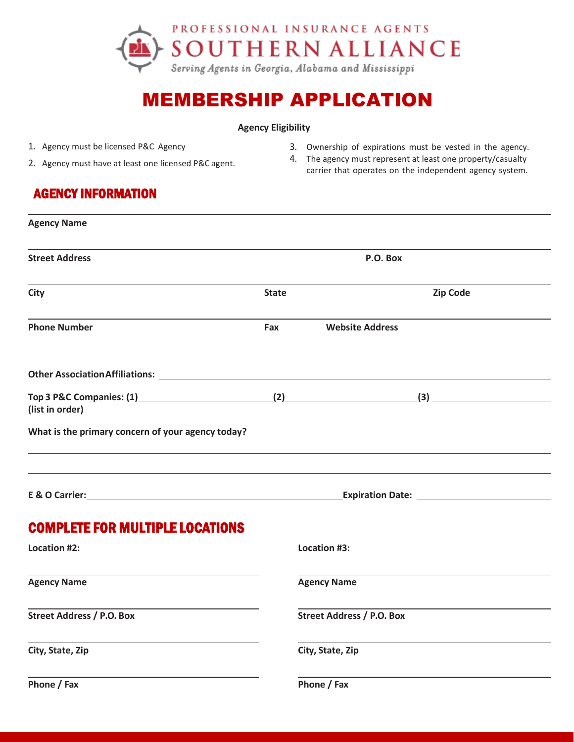

# MEMBERSHIP APPLICATION

3. Ownership of expirations must be vested in the agency. 4. The agency must represent at least one property/casualty carrier that operates on the independent agency system.

#### **Agency Eligibility**

- 1. Agency must be licensed P&C Agency
- 2. Agency must have at least one licensed P&C agent.

### AGENCY INFORMATION

| <b>Agency Name</b>                                      |              |                                  |                 |
|---------------------------------------------------------|--------------|----------------------------------|-----------------|
| <b>Street Address</b>                                   |              | P.O. Box                         |                 |
| <b>City</b>                                             | <b>State</b> |                                  | <b>Zip Code</b> |
| <b>Phone Number</b>                                     | Fax          | <b>Website Address</b>           |                 |
|                                                         |              |                                  |                 |
| Top 3 P&C Companies: (1) (2) (2) (3)<br>(list in order) |              |                                  |                 |
| What is the primary concern of your agency today?       |              |                                  |                 |
|                                                         |              |                                  |                 |
| <b>COMPLETE FOR MULTIPLE LOCATIONS</b>                  |              |                                  |                 |
| Location #2:                                            |              | Location #3:                     |                 |
| <b>Agency Name</b>                                      |              | <b>Agency Name</b>               |                 |
| <b>Street Address / P.O. Box</b>                        |              | <b>Street Address / P.O. Box</b> |                 |
| City, State, Zip                                        |              | City, State, Zip                 |                 |
| Phone / Fax                                             |              | Phone / Fax                      |                 |